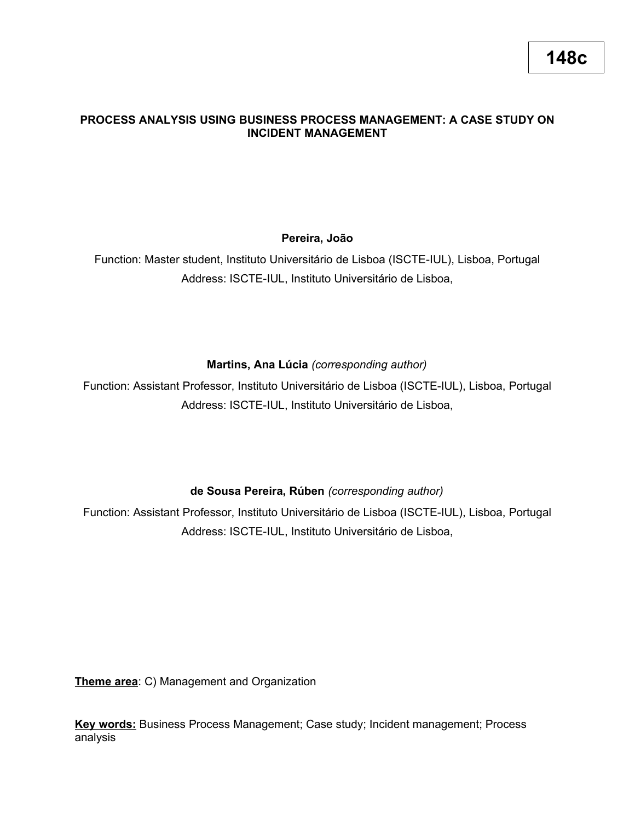# **PROCESS ANALYSIS USING BUSINESS PROCESS MANAGEMENT: A CASE STUDY ON INCIDENT MANAGEMENT**

# **Pereira, João**

Function: Master student, Instituto Universitário de Lisboa (ISCTE-IUL), Lisboa, Portugal Address: ISCTE-IUL, Instituto Universitário de Lisboa,

# **Martins, Ana Lúcia** *(corresponding author)*

Function: Assistant Professor, Instituto Universitário de Lisboa (ISCTE-IUL), Lisboa, Portugal Address: ISCTE-IUL, Instituto Universitário de Lisboa,

# **de Sousa Pereira, Rúben** *(corresponding author)*

Function: Assistant Professor, Instituto Universitário de Lisboa (ISCTE-IUL), Lisboa, Portugal Address: ISCTE-IUL, Instituto Universitário de Lisboa,

**Theme area**: C) Management and Organization

**Key words:** Business Process Management; Case study; Incident management; Process analysis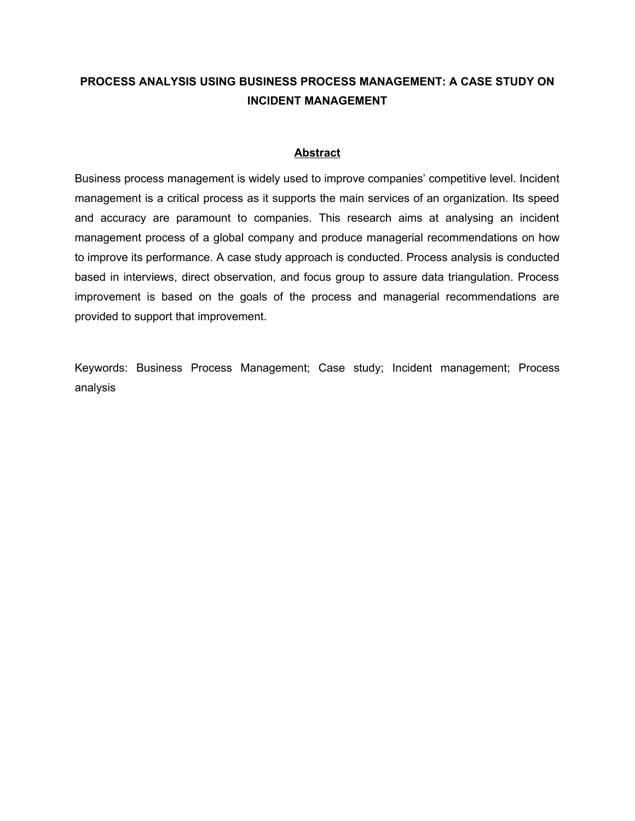# **PROCESS ANALYSIS USING BUSINESS PROCESS MANAGEMENT: A CASE STUDY ON INCIDENT MANAGEMENT**

### **Abstract**

Business process management is widely used to improve companies' competitive level. Incident management is a critical process as it supports the main services of an organization. Its speed and accuracy are paramount to companies. This research aims at analysing an incident management process of a global company and produce managerial recommendations on how to improve its performance. A case study approach is conducted. Process analysis is conducted based in interviews, direct observation, and focus group to assure data triangulation. Process improvement is based on the goals of the process and managerial recommendations are provided to support that improvement.

Keywords: Business Process Management; Case study; Incident management; Process analysis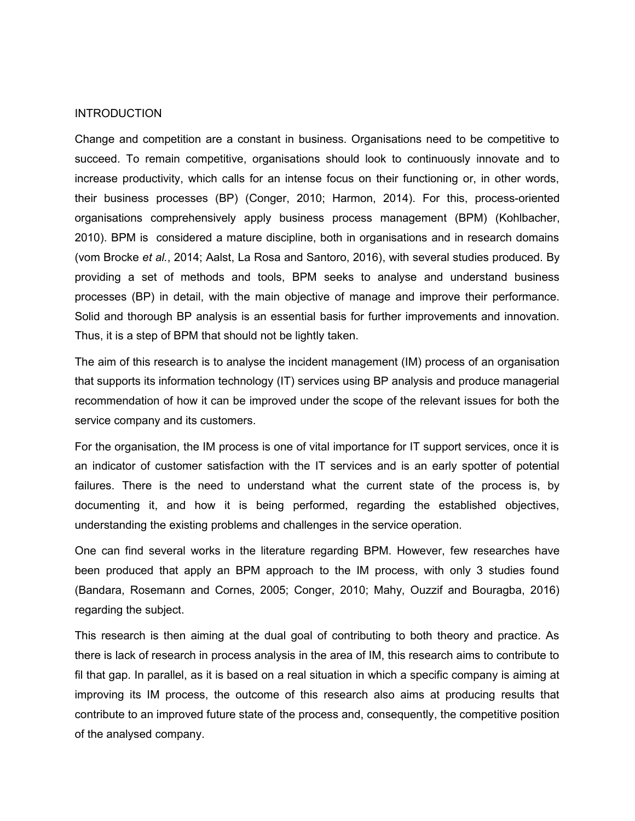#### INTRODUCTION

Change and competition are a constant in business. Organisations need to be competitive to succeed. To remain competitive, organisations should look to continuously innovate and to increase productivity, which calls for an intense focus on their functioning or, in other words, their business processes (BP) (Conger, 2010; Harmon, 2014). For this, process-oriented organisations comprehensively apply business process management (BPM) (Kohlbacher, 2010). BPM is considered a mature discipline, both in organisations and in research domains (vom Brocke *et al.*, 2014; Aalst, La Rosa and Santoro, 2016), with several studies produced. By providing a set of methods and tools, BPM seeks to analyse and understand business processes (BP) in detail, with the main objective of manage and improve their performance. Solid and thorough BP analysis is an essential basis for further improvements and innovation. Thus, it is a step of BPM that should not be lightly taken.

The aim of this research is to analyse the incident management (IM) process of an organisation that supports its information technology (IT) services using BP analysis and produce managerial recommendation of how it can be improved under the scope of the relevant issues for both the service company and its customers.

For the organisation, the IM process is one of vital importance for IT support services, once it is an indicator of customer satisfaction with the IT services and is an early spotter of potential failures. There is the need to understand what the current state of the process is, by documenting it, and how it is being performed, regarding the established objectives, understanding the existing problems and challenges in the service operation.

One can find several works in the literature regarding BPM. However, few researches have been produced that apply an BPM approach to the IM process, with only 3 studies found (Bandara, Rosemann and Cornes, 2005; Conger, 2010; Mahy, Ouzzif and Bouragba, 2016) regarding the subject.

This research is then aiming at the dual goal of contributing to both theory and practice. As there is lack of research in process analysis in the area of IM, this research aims to contribute to fil that gap. In parallel, as it is based on a real situation in which a specific company is aiming at improving its IM process, the outcome of this research also aims at producing results that contribute to an improved future state of the process and, consequently, the competitive position of the analysed company.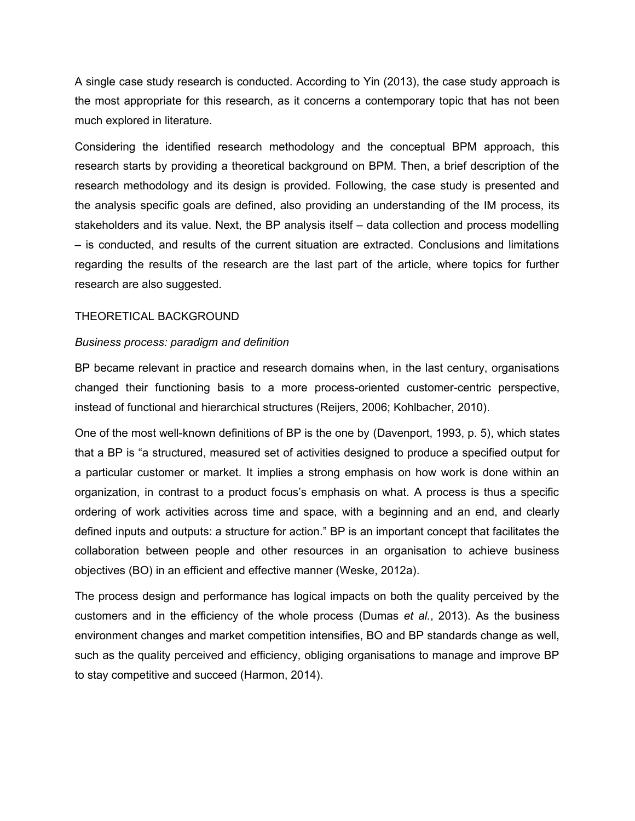A single case study research is conducted. According to Yin (2013), the case study approach is the most appropriate for this research, as it concerns a contemporary topic that has not been much explored in literature.

Considering the identified research methodology and the conceptual BPM approach, this research starts by providing a theoretical background on BPM. Then, a brief description of the research methodology and its design is provided. Following, the case study is presented and the analysis specific goals are defined, also providing an understanding of the IM process, its stakeholders and its value. Next, the BP analysis itself – data collection and process modelling – is conducted, and results of the current situation are extracted. Conclusions and limitations regarding the results of the research are the last part of the article, where topics for further research are also suggested.

#### THEORETICAL BACKGROUND

### *Business process: paradigm and definition*

BP became relevant in practice and research domains when, in the last century, organisations changed their functioning basis to a more process-oriented customer-centric perspective, instead of functional and hierarchical structures (Reijers, 2006; Kohlbacher, 2010).

One of the most well-known definitions of BP is the one by (Davenport, 1993, p. 5), which states that a BP is "a structured, measured set of activities designed to produce a specified output for a particular customer or market. It implies a strong emphasis on how work is done within an organization, in contrast to a product focus's emphasis on what. A process is thus a specific ordering of work activities across time and space, with a beginning and an end, and clearly defined inputs and outputs: a structure for action." BP is an important concept that facilitates the collaboration between people and other resources in an organisation to achieve business objectives (BO) in an efficient and effective manner (Weske, 2012a).

The process design and performance has logical impacts on both the quality perceived by the customers and in the efficiency of the whole process (Dumas *et al.*, 2013). As the business environment changes and market competition intensifies, BO and BP standards change as well, such as the quality perceived and efficiency, obliging organisations to manage and improve BP to stay competitive and succeed (Harmon, 2014).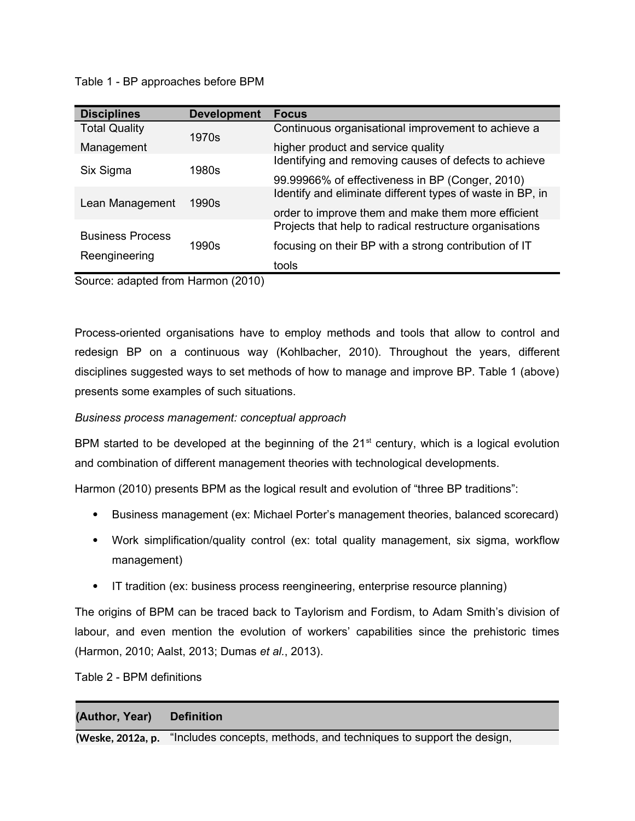Table 1 - BP approaches before BPM

| <b>Disciplines</b>                       | <b>Development</b> | <b>Focus</b>                                              |
|------------------------------------------|--------------------|-----------------------------------------------------------|
| <b>Total Quality</b>                     | 1970s              | Continuous organisational improvement to achieve a        |
| Management                               |                    | higher product and service quality                        |
| Six Sigma                                | 1980s              | Identifying and removing causes of defects to achieve     |
|                                          |                    | 99.99966% of effectiveness in BP (Conger, 2010)           |
| Lean Management                          | 1990s              | Identify and eliminate different types of waste in BP, in |
|                                          |                    | order to improve them and make them more efficient        |
| <b>Business Process</b><br>Reengineering | 1990s              | Projects that help to radical restructure organisations   |
|                                          |                    | focusing on their BP with a strong contribution of IT     |
|                                          |                    | tools                                                     |

Source: adapted from Harmon (2010)

Process-oriented organisations have to employ methods and tools that allow to control and redesign BP on a continuous way (Kohlbacher, 2010). Throughout the years, different disciplines suggested ways to set methods of how to manage and improve BP. Table 1 (above) presents some examples of such situations.

# *Business process management: conceptual approach*

BPM started to be developed at the beginning of the  $21<sup>st</sup>$  century, which is a logical evolution and combination of different management theories with technological developments.

Harmon (2010) presents BPM as the logical result and evolution of "three BP traditions":

- Business management (ex: Michael Porter's management theories, balanced scorecard)
- Work simplification/quality control (ex: total quality management, six sigma, workflow management)
- IT tradition (ex: business process reengineering, enterprise resource planning)

The origins of BPM can be traced back to Taylorism and Fordism, to Adam Smith's division of labour, and even mention the evolution of workers' capabilities since the prehistoric times (Harmon, 2010; Aalst, 2013; Dumas *et al.*, 2013).

Table 2 - BPM definitions

# **(Author, Year) Definition**

**(Weske, 2012a, p.** "Includes concepts, methods, and techniques to support the design,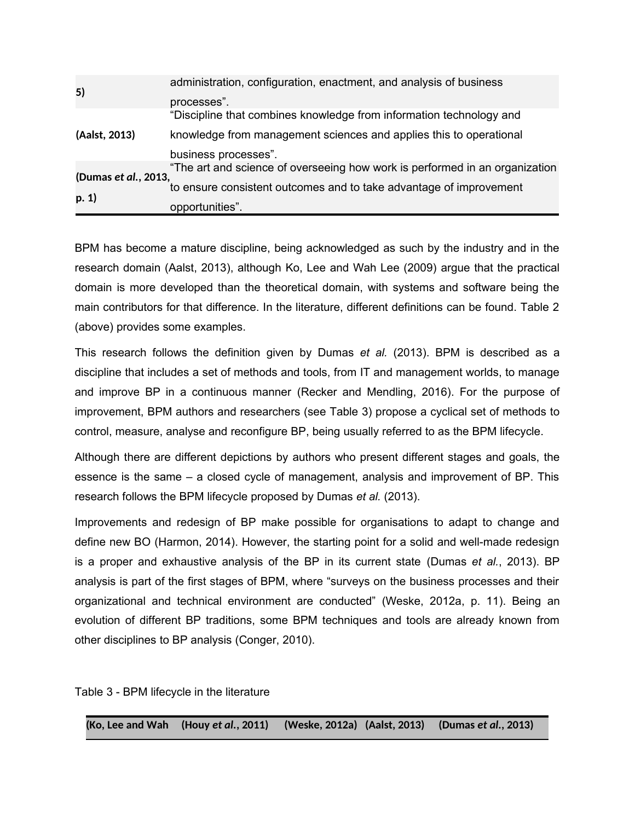| 5)                            | administration, configuration, enactment, and analysis of business          |  |  |
|-------------------------------|-----------------------------------------------------------------------------|--|--|
|                               | processes".                                                                 |  |  |
| (Aalst, 2013)                 | "Discipline that combines knowledge from information technology and         |  |  |
|                               | knowledge from management sciences and applies this to operational          |  |  |
|                               | business processes".                                                        |  |  |
| (Dumas et al., 2013,<br>p. 1) | "The art and science of overseeing how work is performed in an organization |  |  |
|                               | to ensure consistent outcomes and to take advantage of improvement          |  |  |
|                               | opportunities".                                                             |  |  |

BPM has become a mature discipline, being acknowledged as such by the industry and in the research domain (Aalst, 2013), although Ko, Lee and Wah Lee (2009) argue that the practical domain is more developed than the theoretical domain, with systems and software being the main contributors for that difference. In the literature, different definitions can be found. Table 2 (above) provides some examples.

This research follows the definition given by Dumas *et al.* (2013). BPM is described as a discipline that includes a set of methods and tools, from IT and management worlds, to manage and improve BP in a continuous manner (Recker and Mendling, 2016). For the purpose of improvement, BPM authors and researchers (see Table 3) propose a cyclical set of methods to control, measure, analyse and reconfigure BP, being usually referred to as the BPM lifecycle.

Although there are different depictions by authors who present different stages and goals, the essence is the same – a closed cycle of management, analysis and improvement of BP. This research follows the BPM lifecycle proposed by Dumas *et al.* (2013).

Improvements and redesign of BP make possible for organisations to adapt to change and define new BO (Harmon, 2014). However, the starting point for a solid and well-made redesign is a proper and exhaustive analysis of the BP in its current state (Dumas *et al.*, 2013). BP analysis is part of the first stages of BPM, where "surveys on the business processes and their organizational and technical environment are conducted" (Weske, 2012a, p. 11). Being an evolution of different BP traditions, some BPM techniques and tools are already known from other disciplines to BP analysis (Conger, 2010).

Table 3 - BPM lifecycle in the literature

**(Ko, Lee and Wah (Houy** *et al.***, 2011) (Weske, 2012a) (Aalst, 2013) (Dumas** *et al.***, 2013)**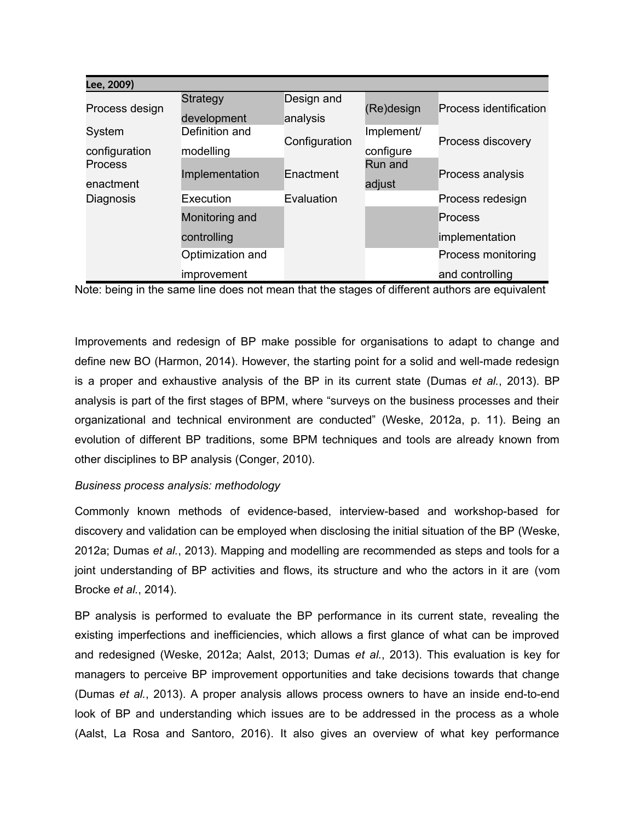| Lee, 2009)                  |                                |                        |                         |                        |
|-----------------------------|--------------------------------|------------------------|-------------------------|------------------------|
| Process design              | <b>Strategy</b><br>development | Design and<br>analysis | (Re)design              | Process identification |
| System<br>configuration     | Definition and<br>modelling    | Configuration          | Implement/<br>configure | Process discovery      |
| <b>Process</b><br>enactment | Implementation                 | Enactment              | Run and<br>adjust       | Process analysis       |
| Diagnosis                   | Execution                      | Evaluation             |                         | Process redesign       |
|                             | Monitoring and                 |                        |                         | Process                |
|                             | controlling                    |                        |                         | implementation         |
|                             | Optimization and               |                        |                         | Process monitoring     |
|                             | improvement                    |                        |                         | and controlling        |

Note: being in the same line does not mean that the stages of different authors are equivalent

Improvements and redesign of BP make possible for organisations to adapt to change and define new BO (Harmon, 2014). However, the starting point for a solid and well-made redesign is a proper and exhaustive analysis of the BP in its current state (Dumas *et al.*, 2013). BP analysis is part of the first stages of BPM, where "surveys on the business processes and their organizational and technical environment are conducted" (Weske, 2012a, p. 11). Being an evolution of different BP traditions, some BPM techniques and tools are already known from other disciplines to BP analysis (Conger, 2010).

## *Business process analysis: methodology*

Commonly known methods of evidence-based, interview-based and workshop-based for discovery and validation can be employed when disclosing the initial situation of the BP (Weske, 2012a; Dumas *et al.*, 2013). Mapping and modelling are recommended as steps and tools for a joint understanding of BP activities and flows, its structure and who the actors in it are (vom Brocke *et al.*, 2014).

BP analysis is performed to evaluate the BP performance in its current state, revealing the existing imperfections and inefficiencies, which allows a first glance of what can be improved and redesigned (Weske, 2012a; Aalst, 2013; Dumas *et al.*, 2013). This evaluation is key for managers to perceive BP improvement opportunities and take decisions towards that change (Dumas *et al.*, 2013). A proper analysis allows process owners to have an inside end-to-end look of BP and understanding which issues are to be addressed in the process as a whole (Aalst, La Rosa and Santoro, 2016). It also gives an overview of what key performance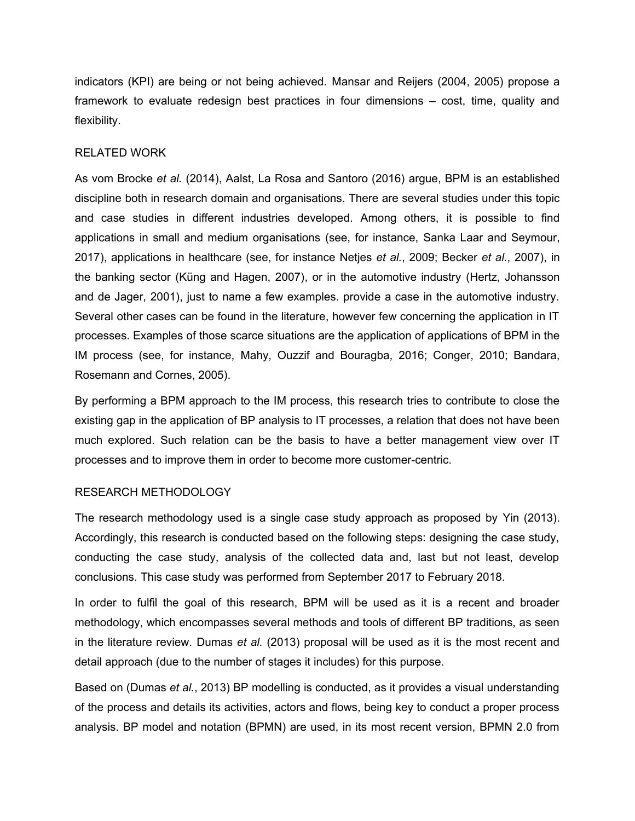indicators (KPI) are being or not being achieved. Mansar and Reijers (2004, 2005) propose a framework to evaluate redesign best practices in four dimensions – cost, time, quality and flexibility.

## RELATED WORK

As vom Brocke *et al.* (2014), Aalst, La Rosa and Santoro (2016) argue, BPM is an established discipline both in research domain and organisations. There are several studies under this topic and case studies in different industries developed. Among others, it is possible to find applications in small and medium organisations (see, for instance, Sanka Laar and Seymour, 2017), applications in healthcare (see, for instance Netjes *et al.*, 2009; Becker *et al.*, 2007), in the banking sector (Küng and Hagen, 2007), or in the automotive industry (Hertz, Johansson and de Jager, 2001), just to name a few examples. provide a case in the automotive industry. Several other cases can be found in the literature, however few concerning the application in IT processes. Examples of those scarce situations are the application of applications of BPM in the IM process (see, for instance, Mahy, Ouzzif and Bouragba, 2016; Conger, 2010; Bandara, Rosemann and Cornes, 2005).

By performing a BPM approach to the IM process, this research tries to contribute to close the existing gap in the application of BP analysis to IT processes, a relation that does not have been much explored. Such relation can be the basis to have a better management view over IT processes and to improve them in order to become more customer-centric.

#### RESEARCH METHODOLOGY

The research methodology used is a single case study approach as proposed by Yin (2013). Accordingly, this research is conducted based on the following steps: designing the case study, conducting the case study, analysis of the collected data and, last but not least, develop conclusions. This case study was performed from September 2017 to February 2018.

In order to fulfil the goal of this research, BPM will be used as it is a recent and broader methodology, which encompasses several methods and tools of different BP traditions, as seen in the literature review. Dumas *et al.* (2013) proposal will be used as it is the most recent and detail approach (due to the number of stages it includes) for this purpose.

Based on (Dumas *et al.*, 2013) BP modelling is conducted, as it provides a visual understanding of the process and details its activities, actors and flows, being key to conduct a proper process analysis. BP model and notation (BPMN) are used, in its most recent version, BPMN 2.0 from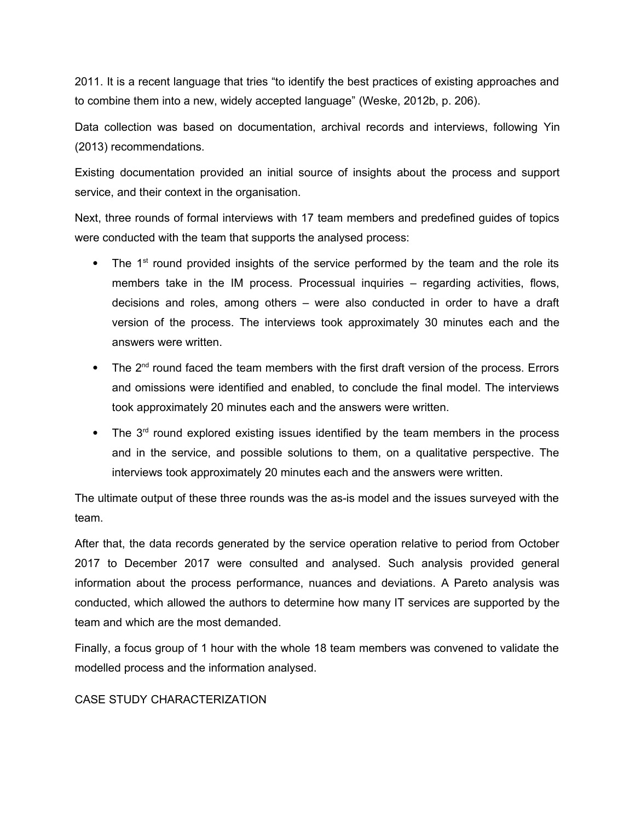2011. It is a recent language that tries "to identify the best practices of existing approaches and to combine them into a new, widely accepted language" (Weske, 2012b, p. 206).

Data collection was based on documentation, archival records and interviews, following Yin (2013) recommendations.

Existing documentation provided an initial source of insights about the process and support service, and their context in the organisation.

Next, three rounds of formal interviews with 17 team members and predefined guides of topics were conducted with the team that supports the analysed process:

- $\bullet$  The 1<sup>st</sup> round provided insights of the service performed by the team and the role its members take in the IM process. Processual inquiries – regarding activities, flows, decisions and roles, among others – were also conducted in order to have a draft version of the process. The interviews took approximately 30 minutes each and the answers were written.
- $\bullet$  The 2<sup>nd</sup> round faced the team members with the first draft version of the process. Errors and omissions were identified and enabled, to conclude the final model. The interviews took approximately 20 minutes each and the answers were written.
- The 3<sup>rd</sup> round explored existing issues identified by the team members in the process and in the service, and possible solutions to them, on a qualitative perspective. The interviews took approximately 20 minutes each and the answers were written.

The ultimate output of these three rounds was the as-is model and the issues surveyed with the team.

After that, the data records generated by the service operation relative to period from October 2017 to December 2017 were consulted and analysed. Such analysis provided general information about the process performance, nuances and deviations. A Pareto analysis was conducted, which allowed the authors to determine how many IT services are supported by the team and which are the most demanded.

Finally, a focus group of 1 hour with the whole 18 team members was convened to validate the modelled process and the information analysed.

## CASE STUDY CHARACTERIZATION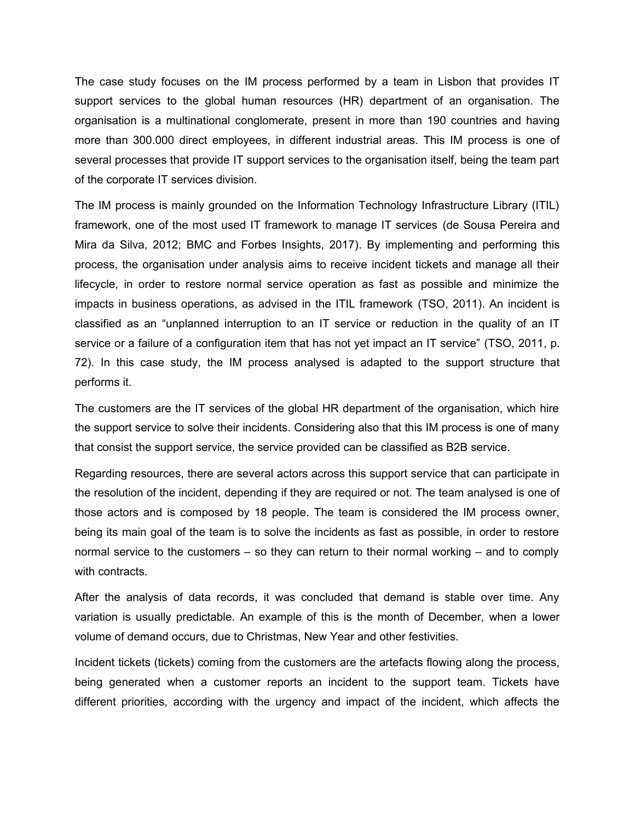The case study focuses on the IM process performed by a team in Lisbon that provides IT support services to the global human resources (HR) department of an organisation. The organisation is a multinational conglomerate, present in more than 190 countries and having more than 300.000 direct employees, in different industrial areas. This IM process is one of several processes that provide IT support services to the organisation itself, being the team part of the corporate IT services division.

The IM process is mainly grounded on the Information Technology Infrastructure Library (ITIL) framework, one of the most used IT framework to manage IT services (de Sousa Pereira and Mira da Silva, 2012; BMC and Forbes Insights, 2017). By implementing and performing this process, the organisation under analysis aims to receive incident tickets and manage all their lifecycle, in order to restore normal service operation as fast as possible and minimize the impacts in business operations, as advised in the ITIL framework (TSO, 2011). An incident is classified as an "unplanned interruption to an IT service or reduction in the quality of an IT service or a failure of a configuration item that has not yet impact an IT service" (TSO, 2011, p. 72). In this case study, the IM process analysed is adapted to the support structure that performs it.

The customers are the IT services of the global HR department of the organisation, which hire the support service to solve their incidents. Considering also that this IM process is one of many that consist the support service, the service provided can be classified as B2B service.

Regarding resources, there are several actors across this support service that can participate in the resolution of the incident, depending if they are required or not. The team analysed is one of those actors and is composed by 18 people. The team is considered the IM process owner, being its main goal of the team is to solve the incidents as fast as possible, in order to restore normal service to the customers – so they can return to their normal working – and to comply with contracts.

After the analysis of data records, it was concluded that demand is stable over time. Any variation is usually predictable. An example of this is the month of December, when a lower volume of demand occurs, due to Christmas, New Year and other festivities.

Incident tickets (tickets) coming from the customers are the artefacts flowing along the process, being generated when a customer reports an incident to the support team. Tickets have different priorities, according with the urgency and impact of the incident, which affects the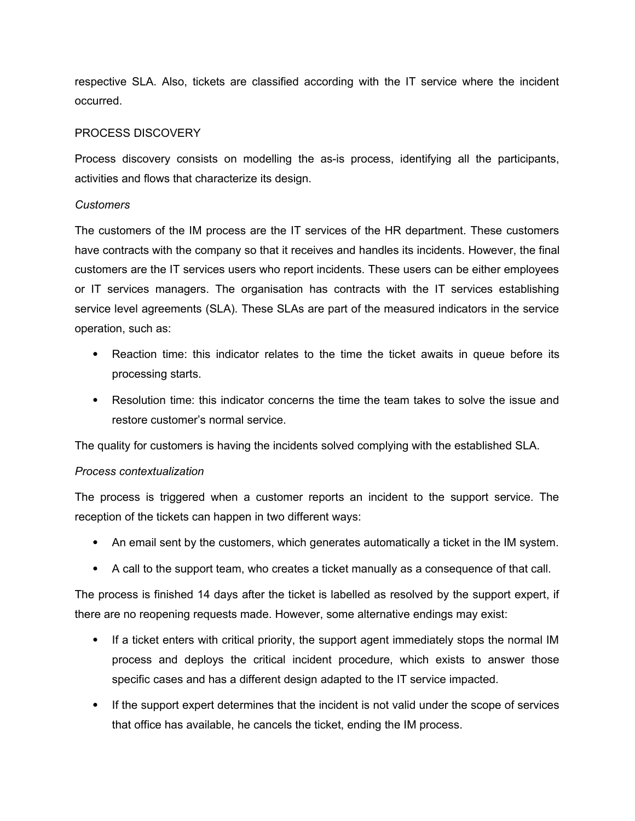respective SLA. Also, tickets are classified according with the IT service where the incident occurred.

### PROCESS DISCOVERY

Process discovery consists on modelling the as-is process, identifying all the participants, activities and flows that characterize its design.

### *Customers*

The customers of the IM process are the IT services of the HR department. These customers have contracts with the company so that it receives and handles its incidents. However, the final customers are the IT services users who report incidents. These users can be either employees or IT services managers. The organisation has contracts with the IT services establishing service level agreements (SLA). These SLAs are part of the measured indicators in the service operation, such as:

- Reaction time: this indicator relates to the time the ticket awaits in queue before its processing starts.
- Resolution time: this indicator concerns the time the team takes to solve the issue and restore customer's normal service.

The quality for customers is having the incidents solved complying with the established SLA.

#### *Process contextualization*

The process is triggered when a customer reports an incident to the support service. The reception of the tickets can happen in two different ways:

- An email sent by the customers, which generates automatically a ticket in the IM system.
- A call to the support team, who creates a ticket manually as a consequence of that call.

The process is finished 14 days after the ticket is labelled as resolved by the support expert, if there are no reopening requests made. However, some alternative endings may exist:

- If a ticket enters with critical priority, the support agent immediately stops the normal IM process and deploys the critical incident procedure, which exists to answer those specific cases and has a different design adapted to the IT service impacted.
- If the support expert determines that the incident is not valid under the scope of services that office has available, he cancels the ticket, ending the IM process.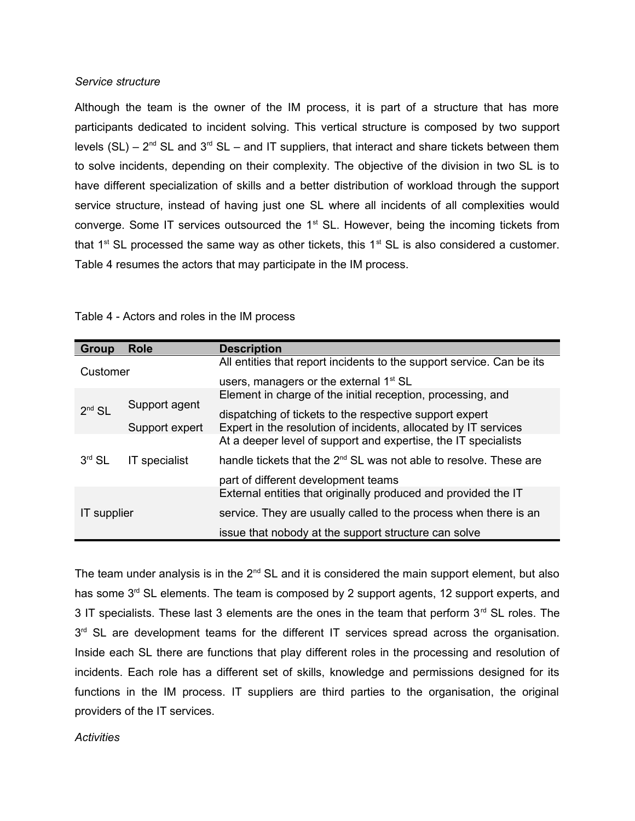#### *Service structure*

Although the team is the owner of the IM process, it is part of a structure that has more participants dedicated to incident solving. This vertical structure is composed by two support levels (SL) –  $2^{nd}$  SL and  $3^{rd}$  SL – and IT suppliers, that interact and share tickets between them to solve incidents, depending on their complexity. The objective of the division in two SL is to have different specialization of skills and a better distribution of workload through the support service structure, instead of having just one SL where all incidents of all complexities would converge. Some IT services outsourced the 1<sup>st</sup> SL. However, being the incoming tickets from that  $1^{st}$  SL processed the same way as other tickets, this  $1^{st}$  SL is also considered a customer. Table 4 resumes the actors that may participate in the IM process.

| Group       | <b>Role</b>                                                    | <b>Description</b>                                                            |
|-------------|----------------------------------------------------------------|-------------------------------------------------------------------------------|
| Customer    |                                                                | All entities that report incidents to the support service. Can be its         |
|             |                                                                | users, managers or the external 1 <sup>st</sup> SL                            |
|             | Element in charge of the initial reception, processing, and    |                                                                               |
| $2nd$ SL    | Support agent                                                  | dispatching of tickets to the respective support expert                       |
|             | Support expert                                                 | Expert in the resolution of incidents, allocated by IT services               |
|             | At a deeper level of support and expertise, the IT specialists |                                                                               |
| $3rd$ SL    | IT specialist                                                  | handle tickets that the 2 <sup>nd</sup> SL was not able to resolve. These are |
|             |                                                                | part of different development teams                                           |
| IT supplier |                                                                | External entities that originally produced and provided the IT                |
|             |                                                                | service. They are usually called to the process when there is an              |
|             |                                                                | issue that nobody at the support structure can solve                          |

Table 4 - Actors and roles in the IM process

The team under analysis is in the  $2<sup>nd</sup>$  SL and it is considered the main support element, but also has some 3<sup>rd</sup> SL elements. The team is composed by 2 support agents, 12 support experts, and 3 IT specialists. These last 3 elements are the ones in the team that perform  $3<sup>rd</sup>$  SL roles. The  $3<sup>rd</sup>$  SL are development teams for the different IT services spread across the organisation. Inside each SL there are functions that play different roles in the processing and resolution of incidents. Each role has a different set of skills, knowledge and permissions designed for its functions in the IM process. IT suppliers are third parties to the organisation, the original providers of the IT services.

#### *Activities*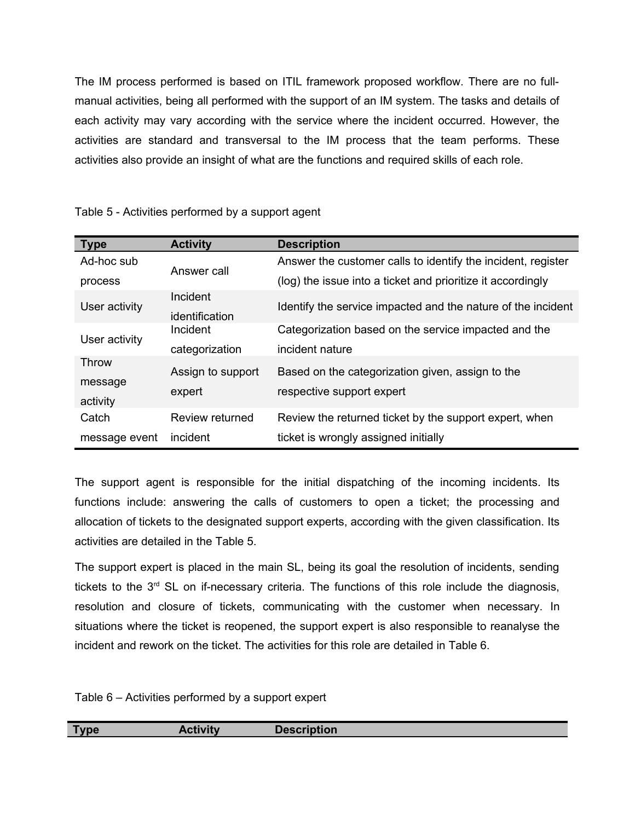The IM process performed is based on ITIL framework proposed workflow. There are no fullmanual activities, being all performed with the support of an IM system. The tasks and details of each activity may vary according with the service where the incident occurred. However, the activities are standard and transversal to the IM process that the team performs. These activities also provide an insight of what are the functions and required skills of each role.

| <b>Type</b>   | <b>Activity</b>   | <b>Description</b>                                           |  |
|---------------|-------------------|--------------------------------------------------------------|--|
| Ad-hoc sub    | Answer call       | Answer the customer calls to identify the incident, register |  |
| process       |                   | (log) the issue into a ticket and prioritize it accordingly  |  |
| User activity | Incident          | Identify the service impacted and the nature of the incident |  |
|               | identification    |                                                              |  |
| User activity | Incident          | Categorization based on the service impacted and the         |  |
|               | categorization    | incident nature                                              |  |
| Throw         | Assign to support | Based on the categorization given, assign to the             |  |
| message       |                   |                                                              |  |
| activity      | expert            | respective support expert                                    |  |
| Catch         | Review returned   | Review the returned ticket by the support expert, when       |  |
| message event | incident          | ticket is wrongly assigned initially                         |  |

Table 5 - Activities performed by a support agent

The support agent is responsible for the initial dispatching of the incoming incidents. Its functions include: answering the calls of customers to open a ticket; the processing and allocation of tickets to the designated support experts, according with the given classification. Its activities are detailed in the Table 5.

The support expert is placed in the main SL, being its goal the resolution of incidents, sending tickets to the  $3<sup>rd</sup>$  SL on if-necessary criteria. The functions of this role include the diagnosis, resolution and closure of tickets, communicating with the customer when necessary. In situations where the ticket is reopened, the support expert is also responsible to reanalyse the incident and rework on the ticket. The activities for this role are detailed in Table 6.

Table 6 – Activities performed by a support expert

| $-$<br><b>Contract of the State of the Contract of the Contract of the Contract of the Contract of the Contract of the Contract of the Contract of the Contract of the Contract of the Contract of the Contract of the Contract of the </b><br>. <b>. .</b> |  |
|-------------------------------------------------------------------------------------------------------------------------------------------------------------------------------------------------------------------------------------------------------------|--|
|                                                                                                                                                                                                                                                             |  |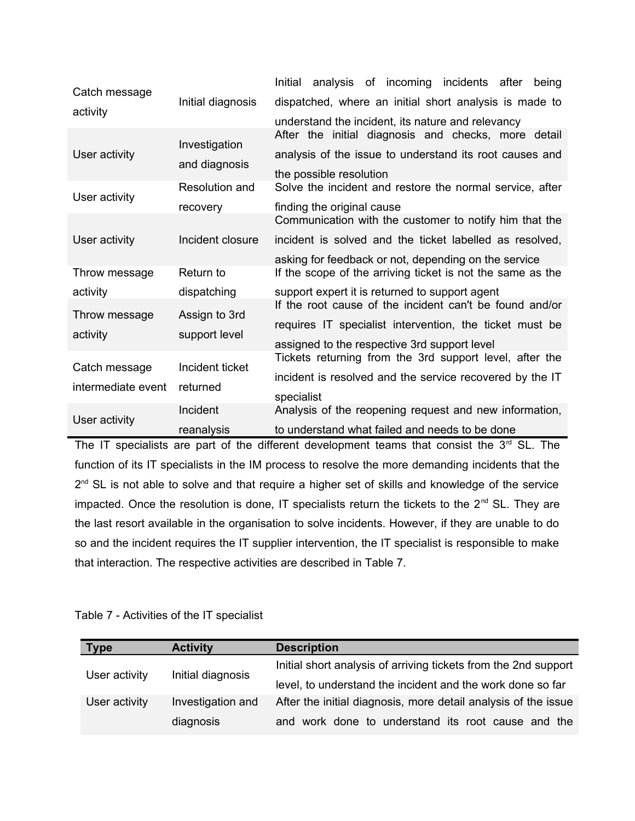| Catch message      |                   | Initial<br>analysis of incoming incidents after<br>being   |
|--------------------|-------------------|------------------------------------------------------------|
| activity           | Initial diagnosis | dispatched, where an initial short analysis is made to     |
|                    |                   | understand the incident, its nature and relevancy          |
|                    | Investigation     | After the initial diagnosis and checks, more detail        |
| User activity      | and diagnosis     | analysis of the issue to understand its root causes and    |
|                    |                   | the possible resolution                                    |
| User activity      | Resolution and    | Solve the incident and restore the normal service, after   |
|                    | recovery          | finding the original cause                                 |
|                    |                   | Communication with the customer to notify him that the     |
| User activity      | Incident closure  | incident is solved and the ticket labelled as resolved,    |
|                    |                   | asking for feedback or not, depending on the service       |
| Throw message      | Return to         | If the scope of the arriving ticket is not the same as the |
| activity           | dispatching       | support expert it is returned to support agent             |
| Throw message      | Assign to 3rd     | If the root cause of the incident can't be found and/or    |
|                    | support level     | requires IT specialist intervention, the ticket must be    |
| activity           |                   | assigned to the respective 3rd support level               |
| Catch message      | Incident ticket   | Tickets returning from the 3rd support level, after the    |
|                    |                   | incident is resolved and the service recovered by the IT   |
| intermediate event | returned          | specialist                                                 |
| User activity      | Incident          | Analysis of the reopening request and new information,     |
|                    | reanalysis        | to understand what failed and needs to be done             |

The IT specialists are part of the different development teams that consist the  $3<sup>rd</sup>$  SL. The function of its IT specialists in the IM process to resolve the more demanding incidents that the 2<sup>nd</sup> SL is not able to solve and that require a higher set of skills and knowledge of the service impacted. Once the resolution is done, IT specialists return the tickets to the  $2^{nd}$  SL. They are the last resort available in the organisation to solve incidents. However, if they are unable to do so and the incident requires the IT supplier intervention, the IT specialist is responsible to make that interaction. The respective activities are described in Table 7.

| <b>Type</b>   | <b>Activity</b>   | <b>Description</b>                                              |
|---------------|-------------------|-----------------------------------------------------------------|
| User activity | Initial diagnosis | Initial short analysis of arriving tickets from the 2nd support |
|               |                   | level, to understand the incident and the work done so far      |
| User activity | Investigation and | After the initial diagnosis, more detail analysis of the issue  |
|               | diagnosis         | and work done to understand its root cause and the              |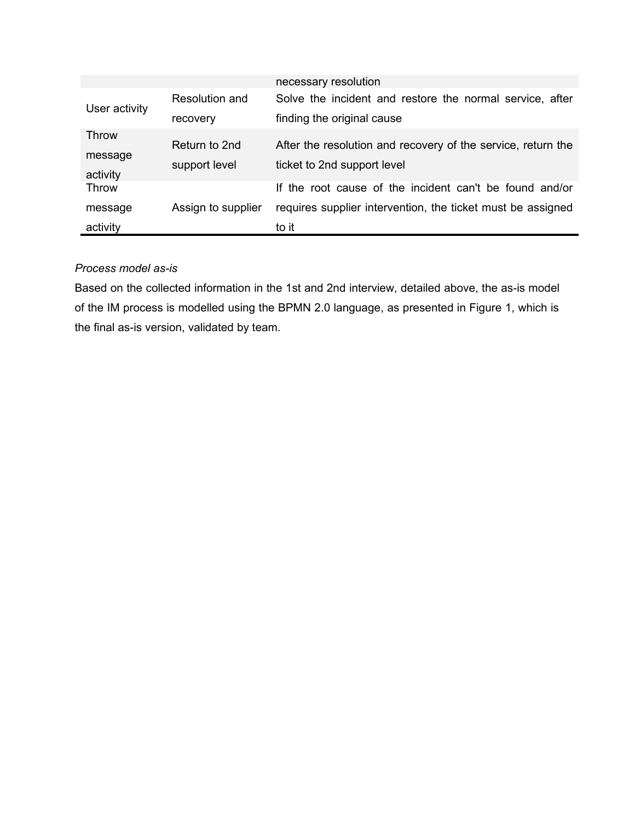|               |                    | necessary resolution                                         |
|---------------|--------------------|--------------------------------------------------------------|
| User activity | Resolution and     | Solve the incident and restore the normal service, after     |
|               | recovery           | finding the original cause                                   |
| Throw         |                    |                                                              |
| message       | Return to 2nd      | After the resolution and recovery of the service, return the |
|               | support level      | ticket to 2nd support level                                  |
| activity      |                    |                                                              |
| Throw         |                    | If the root cause of the incident can't be found and/or      |
| message       | Assign to supplier | requires supplier intervention, the ticket must be assigned  |
| activity      |                    | to it                                                        |

# *Process model as-is*

Based on the collected information in the 1st and 2nd interview, detailed above, the as-is model of the IM process is modelled using the BPMN 2.0 language, as presented in Figure 1, which is the final as-is version, validated by team.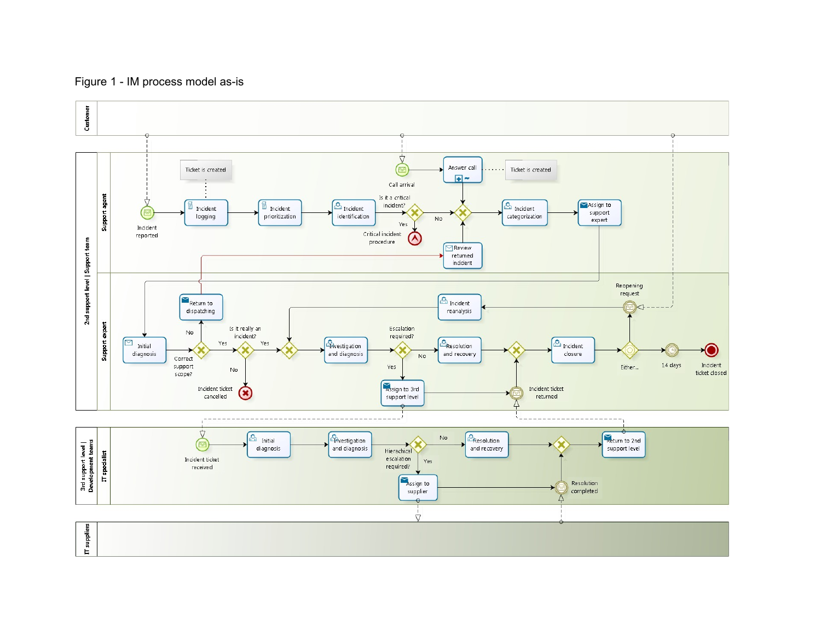# Figure 1 - IM process model as-is

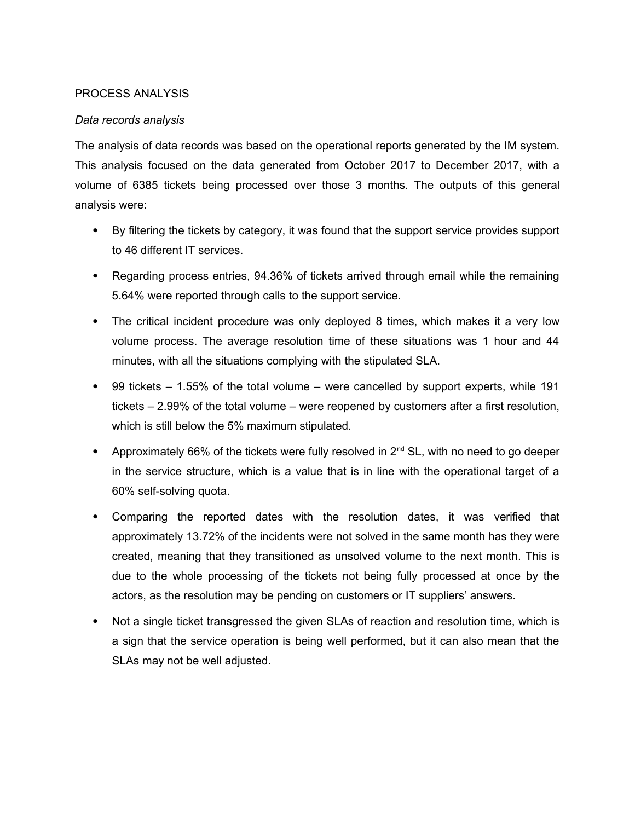# PROCESS ANALYSIS

# *Data records analysis*

The analysis of data records was based on the operational reports generated by the IM system. This analysis focused on the data generated from October 2017 to December 2017, with a volume of 6385 tickets being processed over those 3 months. The outputs of this general analysis were:

- By filtering the tickets by category, it was found that the support service provides support to 46 different IT services.
- Regarding process entries, 94.36% of tickets arrived through email while the remaining 5.64% were reported through calls to the support service.
- The critical incident procedure was only deployed 8 times, which makes it a very low volume process. The average resolution time of these situations was 1 hour and 44 minutes, with all the situations complying with the stipulated SLA.
- $\bullet$  99 tickets  $-$  1.55% of the total volume  $-$  were cancelled by support experts, while 191 tickets – 2.99% of the total volume – were reopened by customers after a first resolution, which is still below the 5% maximum stipulated.
- Approximately 66% of the tickets were fully resolved in  $2^{nd}$  SL, with no need to go deeper in the service structure, which is a value that is in line with the operational target of a 60% self-solving quota.
- Comparing the reported dates with the resolution dates, it was verified that approximately 13.72% of the incidents were not solved in the same month has they were created, meaning that they transitioned as unsolved volume to the next month. This is due to the whole processing of the tickets not being fully processed at once by the actors, as the resolution may be pending on customers or IT suppliers' answers.
- Not a single ticket transgressed the given SLAs of reaction and resolution time, which is a sign that the service operation is being well performed, but it can also mean that the SLAs may not be well adjusted.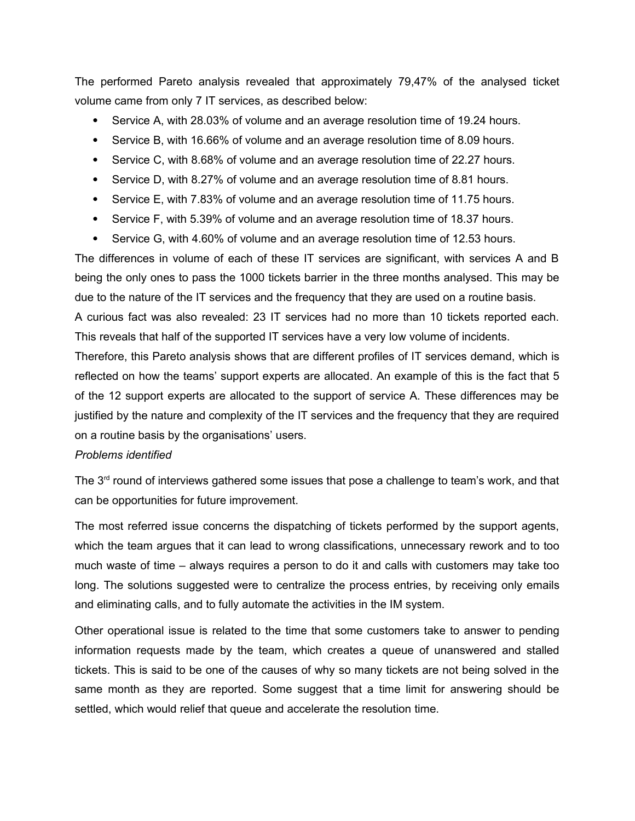The performed Pareto analysis revealed that approximately 79,47% of the analysed ticket volume came from only 7 IT services, as described below:

- Service A, with 28.03% of volume and an average resolution time of 19.24 hours.
- Service B, with 16.66% of volume and an average resolution time of 8.09 hours.
- Service C, with 8.68% of volume and an average resolution time of 22.27 hours.
- Service D, with 8.27% of volume and an average resolution time of 8.81 hours.
- Service E, with 7.83% of volume and an average resolution time of 11.75 hours.
- Service F, with 5.39% of volume and an average resolution time of 18.37 hours.
- Service G, with 4.60% of volume and an average resolution time of 12.53 hours.

The differences in volume of each of these IT services are significant, with services A and B being the only ones to pass the 1000 tickets barrier in the three months analysed. This may be due to the nature of the IT services and the frequency that they are used on a routine basis. A curious fact was also revealed: 23 IT services had no more than 10 tickets reported each.

This reveals that half of the supported IT services have a very low volume of incidents.

Therefore, this Pareto analysis shows that are different profiles of IT services demand, which is reflected on how the teams' support experts are allocated. An example of this is the fact that 5 of the 12 support experts are allocated to the support of service A. These differences may be justified by the nature and complexity of the IT services and the frequency that they are required on a routine basis by the organisations' users.

## *Problems identified*

The  $3<sup>rd</sup>$  round of interviews gathered some issues that pose a challenge to team's work, and that can be opportunities for future improvement.

The most referred issue concerns the dispatching of tickets performed by the support agents, which the team argues that it can lead to wrong classifications, unnecessary rework and to too much waste of time – always requires a person to do it and calls with customers may take too long. The solutions suggested were to centralize the process entries, by receiving only emails and eliminating calls, and to fully automate the activities in the IM system.

Other operational issue is related to the time that some customers take to answer to pending information requests made by the team, which creates a queue of unanswered and stalled tickets. This is said to be one of the causes of why so many tickets are not being solved in the same month as they are reported. Some suggest that a time limit for answering should be settled, which would relief that queue and accelerate the resolution time.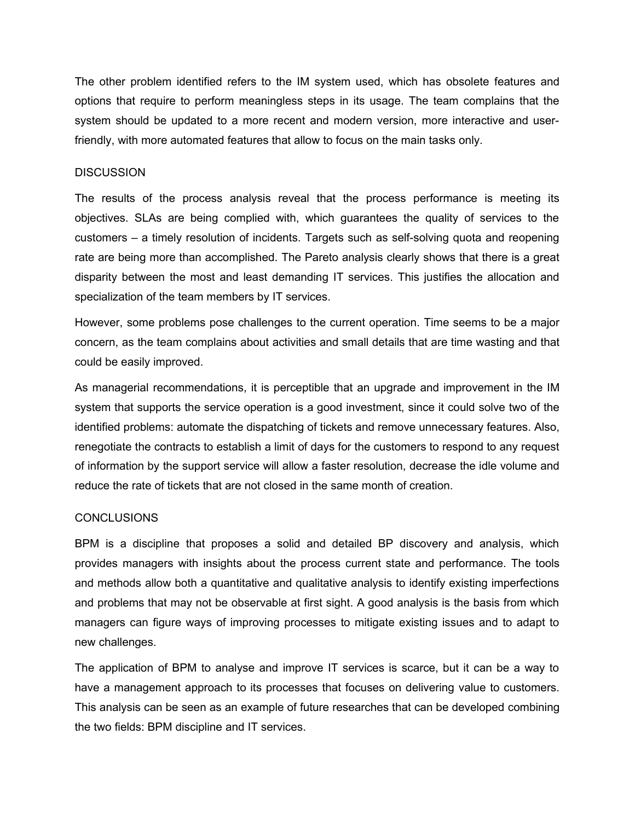The other problem identified refers to the IM system used, which has obsolete features and options that require to perform meaningless steps in its usage. The team complains that the system should be updated to a more recent and modern version, more interactive and userfriendly, with more automated features that allow to focus on the main tasks only.

### **DISCUSSION**

The results of the process analysis reveal that the process performance is meeting its objectives. SLAs are being complied with, which guarantees the quality of services to the customers – a timely resolution of incidents. Targets such as self-solving quota and reopening rate are being more than accomplished. The Pareto analysis clearly shows that there is a great disparity between the most and least demanding IT services. This justifies the allocation and specialization of the team members by IT services.

However, some problems pose challenges to the current operation. Time seems to be a major concern, as the team complains about activities and small details that are time wasting and that could be easily improved.

As managerial recommendations, it is perceptible that an upgrade and improvement in the IM system that supports the service operation is a good investment, since it could solve two of the identified problems: automate the dispatching of tickets and remove unnecessary features. Also, renegotiate the contracts to establish a limit of days for the customers to respond to any request of information by the support service will allow a faster resolution, decrease the idle volume and reduce the rate of tickets that are not closed in the same month of creation.

#### CONCLUSIONS

BPM is a discipline that proposes a solid and detailed BP discovery and analysis, which provides managers with insights about the process current state and performance. The tools and methods allow both a quantitative and qualitative analysis to identify existing imperfections and problems that may not be observable at first sight. A good analysis is the basis from which managers can figure ways of improving processes to mitigate existing issues and to adapt to new challenges.

The application of BPM to analyse and improve IT services is scarce, but it can be a way to have a management approach to its processes that focuses on delivering value to customers. This analysis can be seen as an example of future researches that can be developed combining the two fields: BPM discipline and IT services.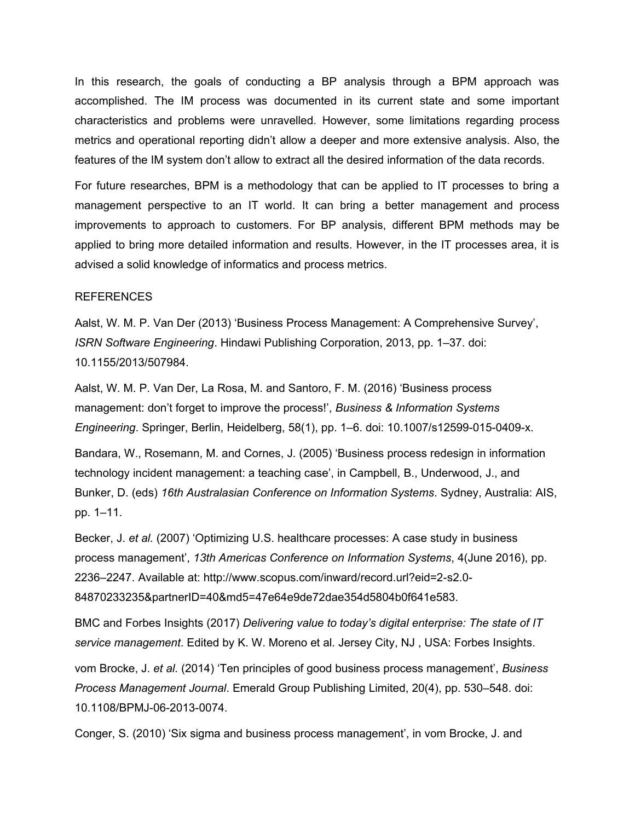In this research, the goals of conducting a BP analysis through a BPM approach was accomplished. The IM process was documented in its current state and some important characteristics and problems were unravelled. However, some limitations regarding process metrics and operational reporting didn't allow a deeper and more extensive analysis. Also, the features of the IM system don't allow to extract all the desired information of the data records.

For future researches, BPM is a methodology that can be applied to IT processes to bring a management perspective to an IT world. It can bring a better management and process improvements to approach to customers. For BP analysis, different BPM methods may be applied to bring more detailed information and results. However, in the IT processes area, it is advised a solid knowledge of informatics and process metrics.

#### REFERENCES

Aalst, W. M. P. Van Der (2013) 'Business Process Management: A Comprehensive Survey', *ISRN Software Engineering*. Hindawi Publishing Corporation, 2013, pp. 1–37. doi: 10.1155/2013/507984.

Aalst, W. M. P. Van Der, La Rosa, M. and Santoro, F. M. (2016) 'Business process management: don't forget to improve the process!', *Business & Information Systems Engineering*. Springer, Berlin, Heidelberg, 58(1), pp. 1–6. doi: 10.1007/s12599-015-0409-x.

Bandara, W., Rosemann, M. and Cornes, J. (2005) 'Business process redesign in information technology incident management: a teaching case', in Campbell, B., Underwood, J., and Bunker, D. (eds) *16th Australasian Conference on Information Systems*. Sydney, Australia: AIS, pp. 1–11.

Becker, J. *et al.* (2007) 'Optimizing U.S. healthcare processes: A case study in business process management', *13th Americas Conference on Information Systems*, 4(June 2016), pp. 2236–2247. Available at: http://www.scopus.com/inward/record.url?eid=2-s2.0- 84870233235&partnerID=40&md5=47e64e9de72dae354d5804b0f641e583.

BMC and Forbes Insights (2017) *Delivering value to today's digital enterprise: The state of IT service management*. Edited by K. W. Moreno et al. Jersey City, NJ , USA: Forbes Insights.

vom Brocke, J. *et al.* (2014) 'Ten principles of good business process management', *Business Process Management Journal*. Emerald Group Publishing Limited, 20(4), pp. 530–548. doi: 10.1108/BPMJ-06-2013-0074.

Conger, S. (2010) 'Six sigma and business process management', in vom Brocke, J. and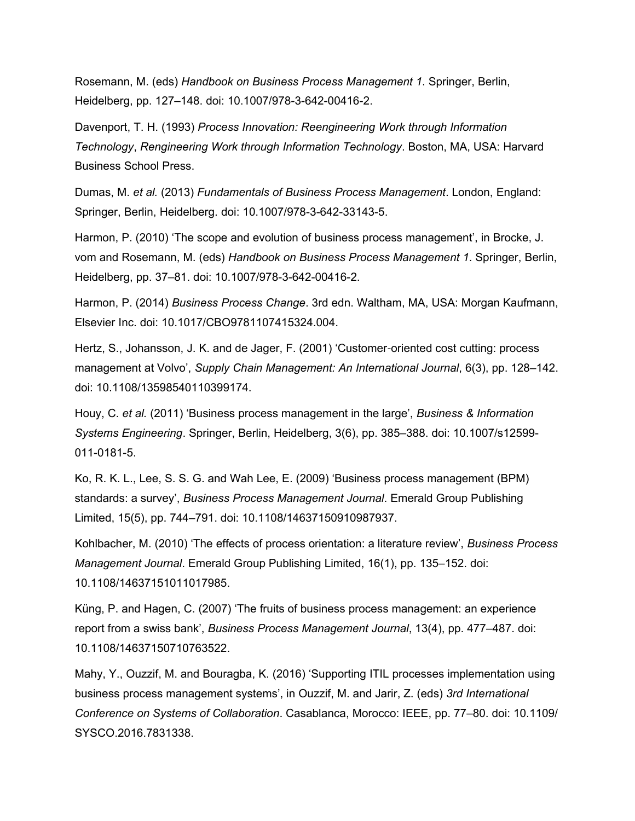Rosemann, M. (eds) *Handbook on Business Process Management 1*. Springer, Berlin, Heidelberg, pp. 127–148. doi: 10.1007/978-3-642-00416-2.

Davenport, T. H. (1993) *Process Innovation: Reengineering Work through Information Technology*, *Rengineering Work through Information Technology*. Boston, MA, USA: Harvard Business School Press.

Dumas, M. *et al.* (2013) *Fundamentals of Business Process Management*. London, England: Springer, Berlin, Heidelberg. doi: 10.1007/978-3-642-33143-5.

Harmon, P. (2010) 'The scope and evolution of business process management', in Brocke, J. vom and Rosemann, M. (eds) *Handbook on Business Process Management 1*. Springer, Berlin, Heidelberg, pp. 37–81. doi: 10.1007/978-3-642-00416-2.

Harmon, P. (2014) *Business Process Change*. 3rd edn. Waltham, MA, USA: Morgan Kaufmann, Elsevier Inc. doi: 10.1017/CBO9781107415324.004.

Hertz, S., Johansson, J. K. and de Jager, F. (2001) 'Customer‐oriented cost cutting: process management at Volvo', *Supply Chain Management: An International Journal*, 6(3), pp. 128–142. doi: 10.1108/13598540110399174.

Houy, C. *et al.* (2011) 'Business process management in the large', *Business & Information Systems Engineering*. Springer, Berlin, Heidelberg, 3(6), pp. 385–388. doi: 10.1007/s12599- 011-0181-5.

Ko, R. K. L., Lee, S. S. G. and Wah Lee, E. (2009) 'Business process management (BPM) standards: a survey', *Business Process Management Journal*. Emerald Group Publishing Limited, 15(5), pp. 744–791. doi: 10.1108/14637150910987937.

Kohlbacher, M. (2010) 'The effects of process orientation: a literature review', *Business Process Management Journal*. Emerald Group Publishing Limited, 16(1), pp. 135–152. doi: 10.1108/14637151011017985.

Küng, P. and Hagen, C. (2007) 'The fruits of business process management: an experience report from a swiss bank', *Business Process Management Journal*, 13(4), pp. 477–487. doi: 10.1108/14637150710763522.

Mahy, Y., Ouzzif, M. and Bouragba, K. (2016) 'Supporting ITIL processes implementation using business process management systems', in Ouzzif, M. and Jarir, Z. (eds) *3rd International Conference on Systems of Collaboration*. Casablanca, Morocco: IEEE, pp. 77–80. doi: 10.1109/ SYSCO.2016.7831338.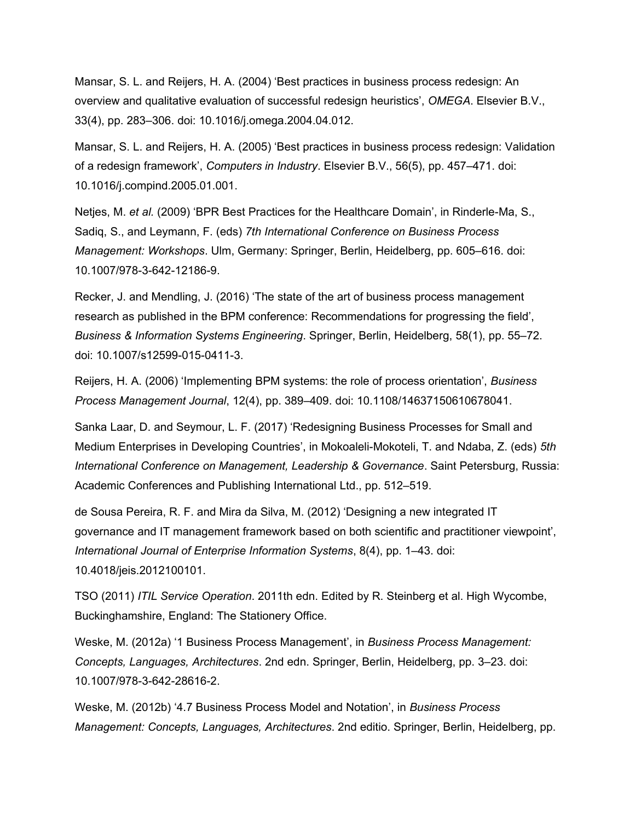Mansar, S. L. and Reijers, H. A. (2004) 'Best practices in business process redesign: An overview and qualitative evaluation of successful redesign heuristics', *OMEGA*. Elsevier B.V., 33(4), pp. 283–306. doi: 10.1016/j.omega.2004.04.012.

Mansar, S. L. and Reijers, H. A. (2005) 'Best practices in business process redesign: Validation of a redesign framework', *Computers in Industry*. Elsevier B.V., 56(5), pp. 457–471. doi: 10.1016/j.compind.2005.01.001.

Netjes, M. *et al.* (2009) 'BPR Best Practices for the Healthcare Domain', in Rinderle-Ma, S., Sadiq, S., and Leymann, F. (eds) *7th International Conference on Business Process Management: Workshops*. Ulm, Germany: Springer, Berlin, Heidelberg, pp. 605–616. doi: 10.1007/978-3-642-12186-9.

Recker, J. and Mendling, J. (2016) 'The state of the art of business process management research as published in the BPM conference: Recommendations for progressing the field', *Business & Information Systems Engineering*. Springer, Berlin, Heidelberg, 58(1), pp. 55–72. doi: 10.1007/s12599-015-0411-3.

Reijers, H. A. (2006) 'Implementing BPM systems: the role of process orientation', *Business Process Management Journal*, 12(4), pp. 389–409. doi: 10.1108/14637150610678041.

Sanka Laar, D. and Seymour, L. F. (2017) 'Redesigning Business Processes for Small and Medium Enterprises in Developing Countries', in Mokoaleli-Mokoteli, T. and Ndaba, Z. (eds) *5th International Conference on Management, Leadership & Governance*. Saint Petersburg, Russia: Academic Conferences and Publishing International Ltd., pp. 512–519.

de Sousa Pereira, R. F. and Mira da Silva, M. (2012) 'Designing a new integrated IT governance and IT management framework based on both scientific and practitioner viewpoint', *International Journal of Enterprise Information Systems*, 8(4), pp. 1–43. doi: 10.4018/jeis.2012100101.

TSO (2011) *ITIL Service Operation*. 2011th edn. Edited by R. Steinberg et al. High Wycombe, Buckinghamshire, England: The Stationery Office.

Weske, M. (2012a) '1 Business Process Management', in *Business Process Management: Concepts, Languages, Architectures*. 2nd edn. Springer, Berlin, Heidelberg, pp. 3–23. doi: 10.1007/978-3-642-28616-2.

Weske, M. (2012b) '4.7 Business Process Model and Notation', in *Business Process Management: Concepts, Languages, Architectures*. 2nd editio. Springer, Berlin, Heidelberg, pp.